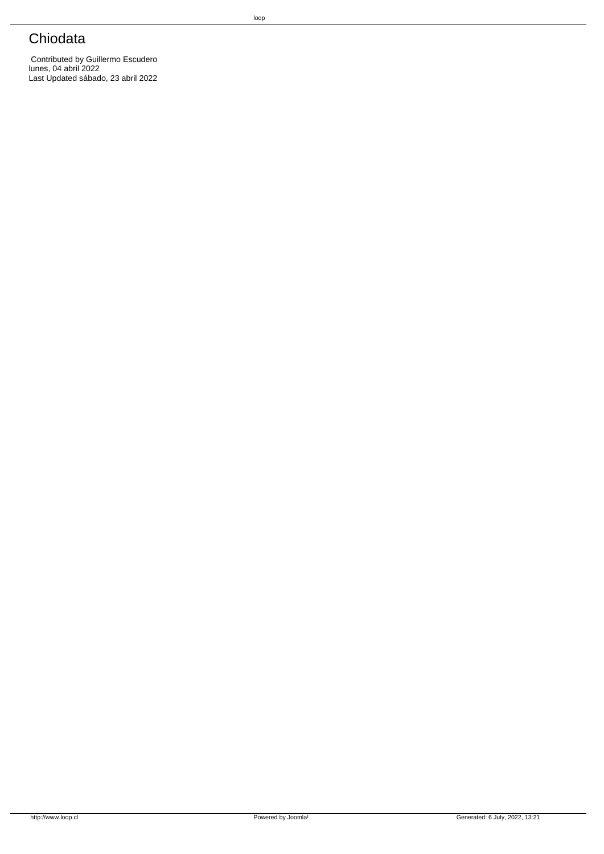## Chiodata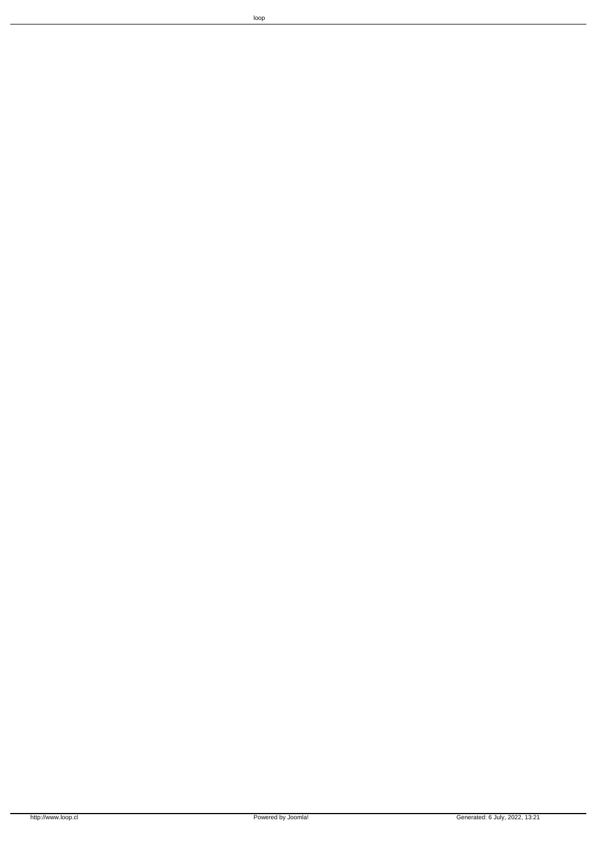loop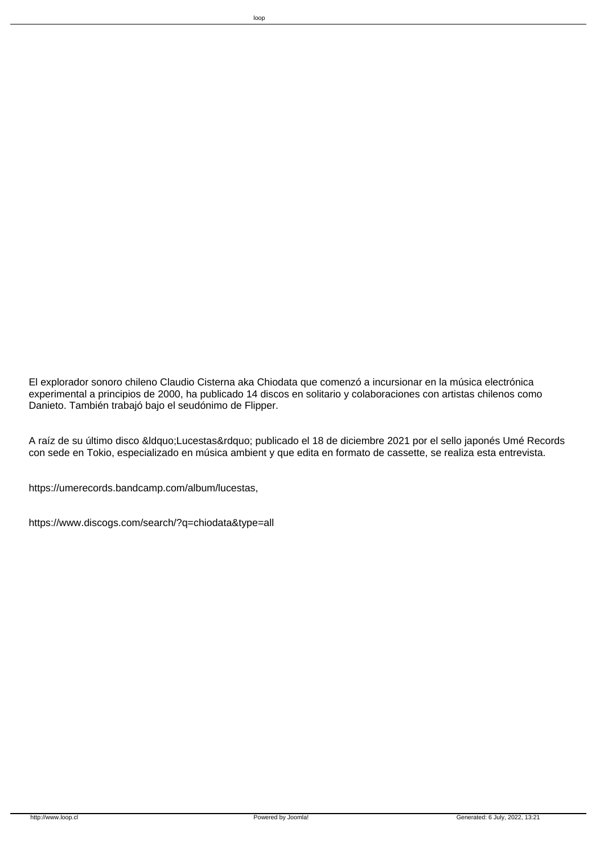El explorador sonoro chileno Claudio Cisterna aka Chiodata que comenzó a incursionar en la música electrónica experimental a principios de 2000, ha publicado 14 discos en solitario y colaboraciones con artistas chilenos como Danieto. También trabajó bajo el seudónimo de Flipper.

loop

A raíz de su último disco " Lucestas " publicado el 18 de diciembre 2021 por el sello japonés Umé Records con sede en Tokio, especializado en música ambient y que edita en formato de cassette, se realiza esta entrevista.

 https://umerecords.bandcamp.com/album/lucestas,

 https://www.discogs.com/search/?q=chiodata&type=all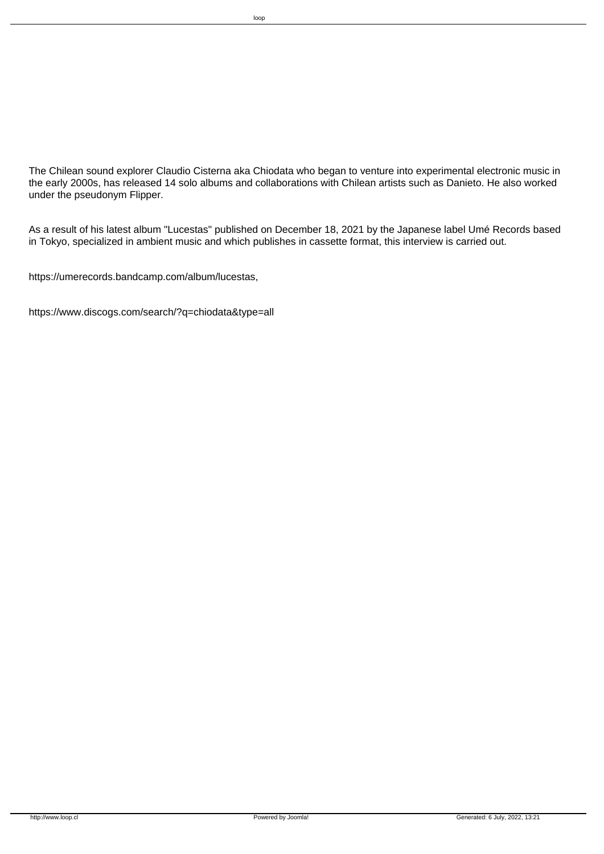The Chilean sound explorer Claudio Cisterna aka Chiodata who began to venture into experimental electronic music in the early 2000s, has released 14 solo albums and collaborations with Chilean artists such as Danieto. He also worked under the pseudonym Flipper.

 As a result of his latest album "Lucestas" published on December 18, 2021 by the Japanese label Umé Records based in Tokyo, specialized in ambient music and which publishes in cassette format, this interview is carried out.

 https://umerecords.bandcamp.com/album/lucestas,

 https://www.discogs.com/search/?q=chiodata&type=all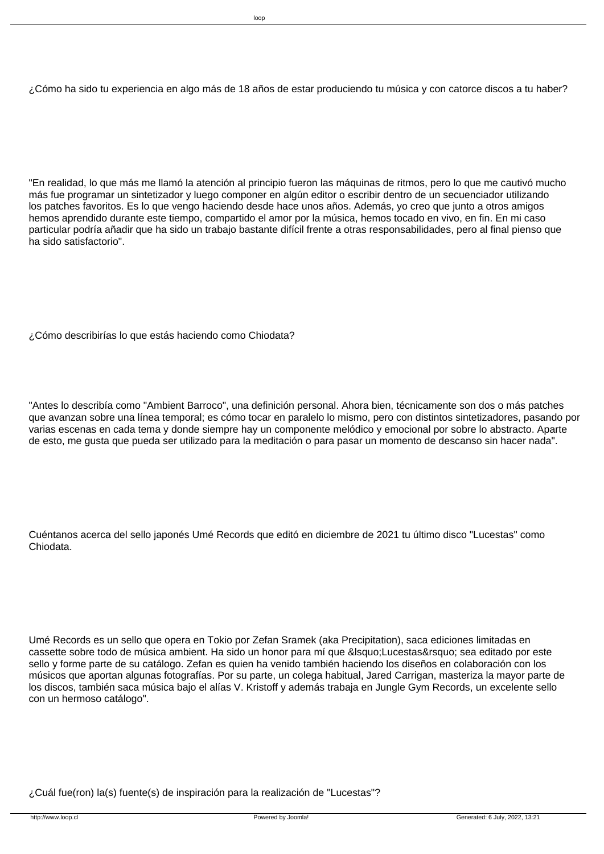¿Cómo ha sido tu experiencia en algo más de 18 años de estar produciendo tu música y con catorce discos a tu haber?

 "En realidad, lo que más me llamó la atención al principio fueron las máquinas de ritmos, pero lo que me cautivó mucho más fue programar un sintetizador y luego componer en algún editor o escribir dentro de un secuenciador utilizando los patches favoritos. Es lo que vengo haciendo desde hace unos años. Además, yo creo que junto a otros amigos hemos aprendido durante este tiempo, compartido el amor por la música, hemos tocado en vivo, en fin. En mi caso particular podría añadir que ha sido un trabajo bastante difícil frente a otras responsabilidades, pero al final pienso que ha sido satisfactorio".

 ¿Cómo describirías lo que estás haciendo como Chiodata?

 "Antes lo describía como "Ambient Barroco", una definición personal. Ahora bien, técnicamente son dos o más patches que avanzan sobre una línea temporal; es cómo tocar en paralelo lo mismo, pero con distintos sintetizadores, pasando por varias escenas en cada tema y donde siempre hay un componente melódico y emocional por sobre lo abstracto. Aparte de esto, me gusta que pueda ser utilizado para la meditación o para pasar un momento de descanso sin hacer nada".

 Cuéntanos acerca del sello japonés Umé Records que editó en diciembre de 2021 tu último disco "Lucestas" como Chiodata.

 Umé Records es un sello que opera en Tokio por Zefan Sramek (aka Precipitation), saca ediciones limitadas en cassette sobre todo de música ambient. Ha sido un honor para mí que & squo: Lucestas& rsquo: sea editado por este sello y forme parte de su catálogo. Zefan es quien ha venido también haciendo los diseños en colaboración con los músicos que aportan algunas fotografías. Por su parte, un colega habitual, Jared Carrigan, masteriza la mayor parte de los discos, también saca música bajo el alías V. Kristoff y además trabaja en Jungle Gym Records, un excelente sello con un hermoso catálogo".

 ¿Cuál fue(ron) la(s) fuente(s) de inspiración para la realización de "Lucestas"?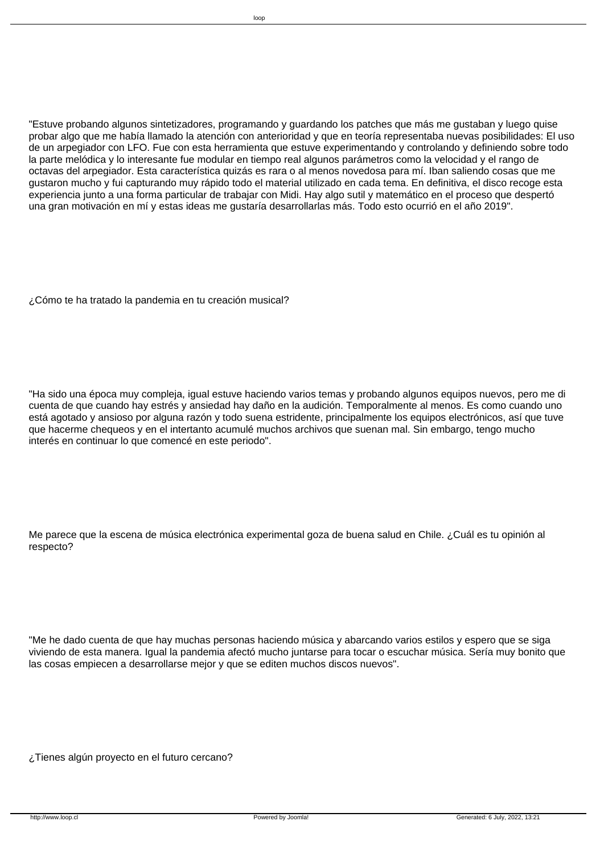"Estuve probando algunos sintetizadores, programando y guardando los patches que más me gustaban y luego quise probar algo que me había llamado la atención con anterioridad y que en teoría representaba nuevas posibilidades: El uso de un arpegiador con LFO. Fue con esta herramienta que estuve experimentando y controlando y definiendo sobre todo la parte melódica y lo interesante fue modular en tiempo real algunos parámetros como la velocidad y el rango de octavas del arpegiador. Esta característica quizás es rara o al menos novedosa para mí. Iban saliendo cosas que me gustaron mucho y fui capturando muy rápido todo el material utilizado en cada tema. En definitiva, el disco recoge esta experiencia junto a una forma particular de trabajar con Midi. Hay algo sutil y matemático en el proceso que despertó una gran motivación en mí y estas ideas me gustaría desarrollarlas más. Todo esto ocurrió en el año 2019".

 ¿Cómo te ha tratado la pandemia en tu creación musical?

 "Ha sido una época muy compleja, igual estuve haciendo varios temas y probando algunos equipos nuevos, pero me di cuenta de que cuando hay estrés y ansiedad hay daño en la audición. Temporalmente al menos. Es como cuando uno está agotado y ansioso por alguna razón y todo suena estridente, principalmente los equipos electrónicos, así que tuve que hacerme chequeos y en el intertanto acumulé muchos archivos que suenan mal. Sin embargo, tengo mucho interés en continuar lo que comencé en este periodo".

 Me parece que la escena de música electrónica experimental goza de buena salud en Chile. ¿Cuál es tu opinión al respecto?

 "Me he dado cuenta de que hay muchas personas haciendo música y abarcando varios estilos y espero que se siga viviendo de esta manera. Igual la pandemia afectó mucho juntarse para tocar o escuchar música. Sería muy bonito que las cosas empiecen a desarrollarse mejor y que se editen muchos discos nuevos".

¿Tienes algún proyecto en el futuro cercano?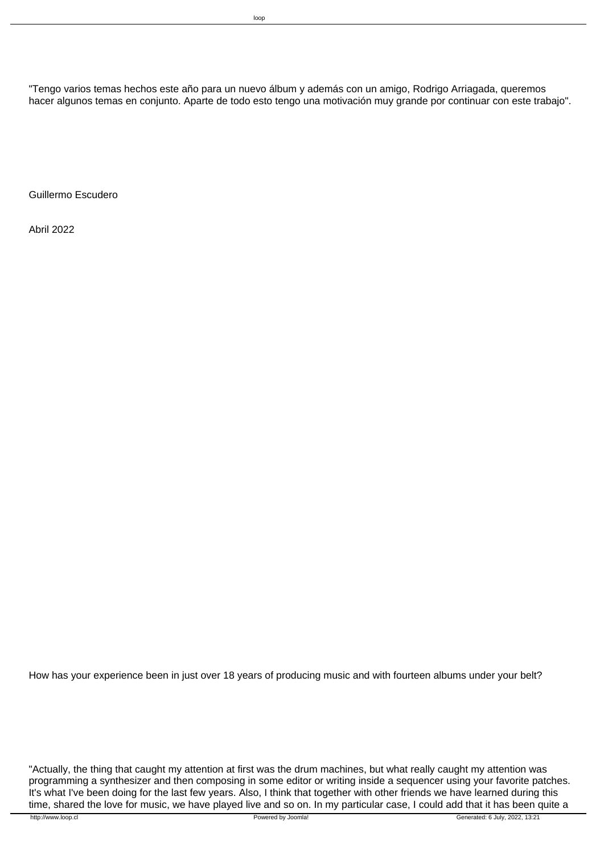"Tengo varios temas hechos este año para un nuevo álbum y además con un amigo, Rodrigo Arriagada, queremos hacer algunos temas en conjunto. Aparte de todo esto tengo una motivación muy grande por continuar con este trabajo".

 Guillermo Escudero

 Abril 2022

 How has your experience been in just over 18 years of producing music and with fourteen albums under your belt?

 "Actually, the thing that caught my attention at first was the drum machines, but what really caught my attention was programming a synthesizer and then composing in some editor or writing inside a sequencer using your favorite patches. It's what I've been doing for the last few years. Also, I think that together with other friends we have learned during this time, shared the love for music, we have played live and so on. In my particular case, I could add that it has been quite a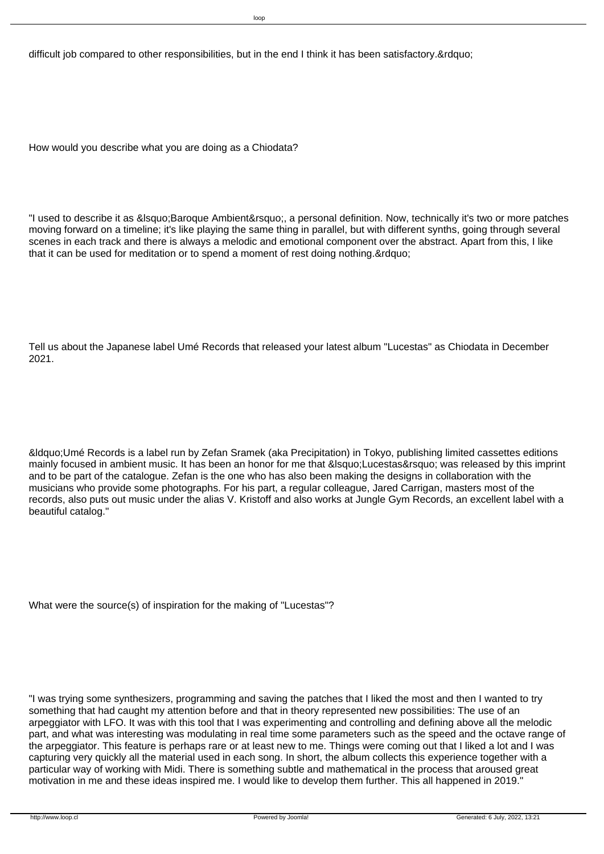difficult job compared to other responsibilities, but in the end I think it has been satisfactory."

 How would you describe what you are doing as a Chiodata?

"I used to describe it as &Isquo;Baroque Ambient', a personal definition. Now, technically it's two or more patches moving forward on a timeline; it's like playing the same thing in parallel, but with different synths, going through several scenes in each track and there is always a melodic and emotional component over the abstract. Apart from this, I like that it can be used for meditation or to spend a moment of rest doing nothing. & rdguo:

 Tell us about the Japanese label Umé Records that released your latest album "Lucestas" as Chiodata in December 2021.

 "Umé Records is a label run by Zefan Sramek (aka Precipitation) in Tokyo, publishing limited cassettes editions mainly focused in ambient music. It has been an honor for me that & Isquo: Lucestas& rsquo: was released by this imprint and to be part of the catalogue. Zefan is the one who has also been making the designs in collaboration with the musicians who provide some photographs. For his part, a regular colleague, Jared Carrigan, masters most of the records, also puts out music under the alias V. Kristoff and also works at Jungle Gym Records, an excellent label with a beautiful catalog."

 What were the source(s) of inspiration for the making of "Lucestas"?

 "I was trying some synthesizers, programming and saving the patches that I liked the most and then I wanted to try something that had caught my attention before and that in theory represented new possibilities: The use of an arpeggiator with LFO. It was with this tool that I was experimenting and controlling and defining above all the melodic part, and what was interesting was modulating in real time some parameters such as the speed and the octave range of the arpeggiator. This feature is perhaps rare or at least new to me. Things were coming out that I liked a lot and I was capturing very quickly all the material used in each song. In short, the album collects this experience together with a particular way of working with Midi. There is something subtle and mathematical in the process that aroused great motivation in me and these ideas inspired me. I would like to develop them further. This all happened in 2019."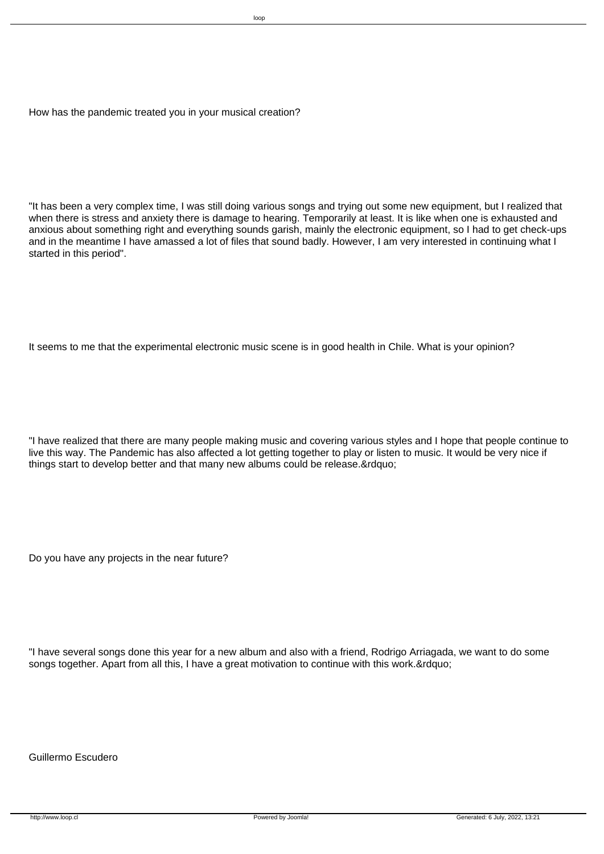How has the pandemic treated you in your musical creation?

 "It has been a very complex time, I was still doing various songs and trying out some new equipment, but I realized that when there is stress and anxiety there is damage to hearing. Temporarily at least. It is like when one is exhausted and anxious about something right and everything sounds garish, mainly the electronic equipment, so I had to get check-ups and in the meantime I have amassed a lot of files that sound badly. However, I am very interested in continuing what I started in this period".

It seems to me that the experimental electronic music scene is in good health in Chile. What is your opinion?

 "I have realized that there are many people making music and covering various styles and I hope that people continue to live this way. The Pandemic has also affected a lot getting together to play or listen to music. It would be very nice if things start to develop better and that many new albums could be release.&rdguo:

 Do you have any projects in the near future?

 "I have several songs done this year for a new album and also with a friend, Rodrigo Arriagada, we want to do some songs together. Apart from all this, I have a great motivation to continue with this work. & requision

 Guillermo Escudero